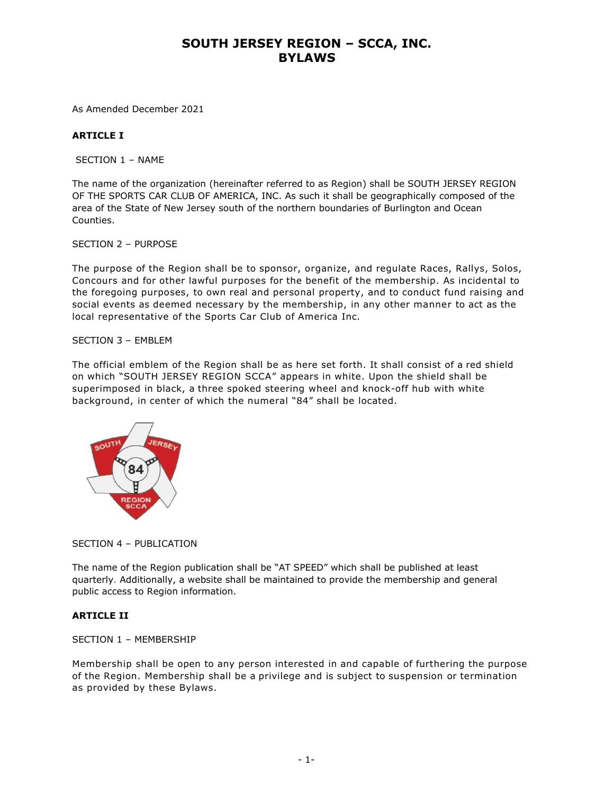As Amended December 2021

## **ARTICLE I**

SECTION 1 – NAME

The name of the organization (hereinafter referred to as Region) shall be SOUTH JERSEY REGION OF THE SPORTS CAR CLUB OF AMERICA, INC. As such it shall be geographically composed of the area of the State of New Jersey south of the northern boundaries of Burlington and Ocean Counties.

SECTION 2 – PURPOSE

The purpose of the Region shall be to sponsor, organize, and regulate Races, Rallys, Solos, Concours and for other lawful purposes for the benefit of the membership. As incidental to the foregoing purposes, to own real and personal property, and to conduct fund raising and social events as deemed necessary by the membership, in any other manner to act as the local representative of the Sports Car Club of America Inc.

#### SECTION 3 – EMBLEM

The official emblem of the Region shall be as here set forth. It shall consist of a red shield on which "SOUTH JERSEY REGION SCCA" appears in white. Upon the shield shall be superimposed in black, a three spoked steering wheel and knock-off hub with white background, in center of which the numeral "84" shall be located.



## SECTION 4 – PUBLICATION

The name of the Region publication shall be "AT SPEED" which shall be published at least quarterly. Additionally, a website shall be maintained to provide the membership and general public access to Region information.

## **ARTICLE II**

## SECTION 1 – MEMBERSHIP

Membership shall be open to any person interested in and capable of furthering the purpose of the Region. Membership shall be a privilege and is subject to suspension or termination as provided by these Bylaws.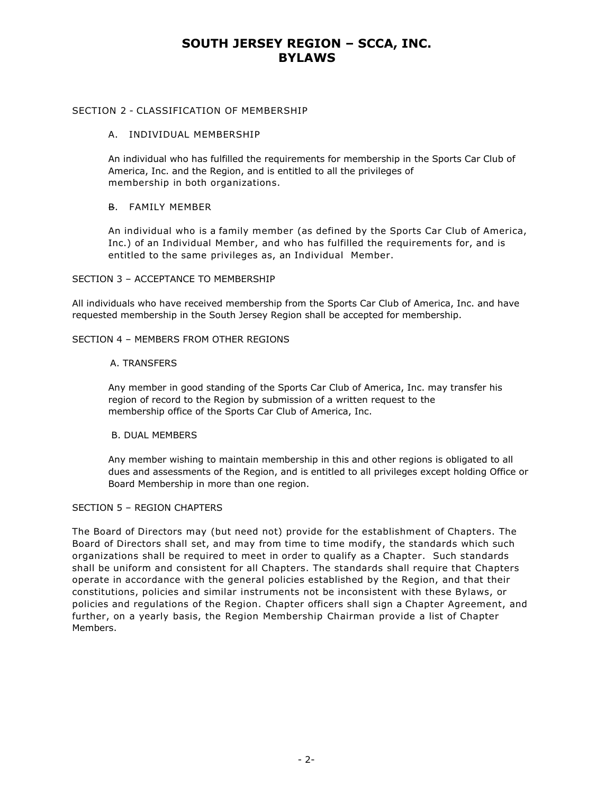## SECTION 2 - CLASSIFICATION OF MEMBERSHIP

## A. INDIVIDUAL MEMBERSHIP

An individual who has fulfilled the requirements for membership in the Sports Car Club of America, Inc. and the Region, and is entitled to all the privileges of membership in both organizations.

## B. FAMILY MEMBER

An individual who is a family member (as defined by the Sports Car Club of America, Inc.) of an Individual Member, and who has fulfilled the requirements for, and is entitled to the same privileges as, an Individual Member.

## SECTION 3 – ACCEPTANCE TO MEMBERSHIP

All individuals who have received membership from the Sports Car Club of America, Inc. and have requested membership in the South Jersey Region shall be accepted for membership.

## SECTION 4 – MEMBERS FROM OTHER REGIONS

## A. TRANSFERS

Any member in good standing of the Sports Car Club of America, Inc. may transfer his region of record to the Region by submission of a written request to the membership office of the Sports Car Club of America, Inc.

# B. DUAL MEMBERS

Any member wishing to maintain membership in this and other regions is obligated to all dues and assessments of the Region, and is entitled to all privileges except holding Office or Board Membership in more than one region.

## SECTION 5 – REGION CHAPTERS

The Board of Directors may (but need not) provide for the establishment of Chapters. The Board of Directors shall set, and may from time to time modify, the standards which such organizations shall be required to meet in order to qualify as a Chapter. Such standards shall be uniform and consistent for all Chapters. The standards shall require that Chapters operate in accordance with the general policies established by the Region, and that their constitutions, policies and similar instruments not be inconsistent with these Bylaws, or policies and regulations of the Region. Chapter officers shall sign a Chapter Agreement, and further, on a yearly basis, the Region Membership Chairman provide a list of Chapter Members.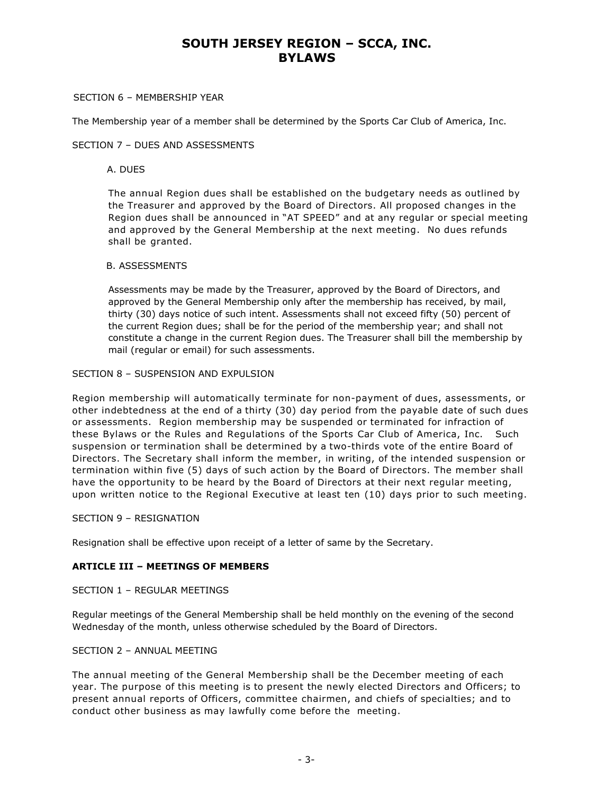#### SECTION 6 – MEMBERSHIP YEAR

The Membership year of a member shall be determined by the Sports Car Club of America, Inc.

#### SECTION 7 – DUES AND ASSESSMENTS

#### A. DUES

The annual Region dues shall be established on the budgetary needs as outlined by the Treasurer and approved by the Board of Directors. All proposed changes in the Region dues shall be announced in "AT SPEED" and at any regular or special meeting and approved by the General Membership at the next meeting. No dues refunds shall be granted.

#### B. ASSESSMENTS

Assessments may be made by the Treasurer, approved by the Board of Directors, and approved by the General Membership only after the membership has received, by mail, thirty (30) days notice of such intent. Assessments shall not exceed fifty (50) percent of the current Region dues; shall be for the period of the membership year; and shall not constitute a change in the current Region dues. The Treasurer shall bill the membership by mail (regular or email) for such assessments.

#### SECTION 8 – SUSPENSION AND EXPULSION

Region membership will automatically terminate for non-payment of dues, assessments, or other indebtedness at the end of a thirty (30) day period from the payable date of such dues or assessments. Region membership may be suspended or terminated for infraction of these Bylaws or the Rules and Regulations of the Sports Car Club of America, Inc. Such suspension or termination shall be determined by a two-thirds vote of the entire Board of Directors. The Secretary shall inform the member, in writing, of the intended suspension or termination within five (5) days of such action by the Board of Directors. The member shall have the opportunity to be heard by the Board of Directors at their next regular meeting, upon written notice to the Regional Executive at least ten (10) days prior to such meeting.

#### SECTION 9 – RESIGNATION

Resignation shall be effective upon receipt of a letter of same by the Secretary.

## **ARTICLE III – MEETINGS OF MEMBERS**

#### SECTION 1 – REGULAR MEETINGS

Regular meetings of the General Membership shall be held monthly on the evening of the second Wednesday of the month, unless otherwise scheduled by the Board of Directors.

## SECTION 2 – ANNUAL MEETING

The annual meeting of the General Membership shall be the December meeting of each year. The purpose of this meeting is to present the newly elected Directors and Officers; to present annual reports of Officers, committee chairmen, and chiefs of specialties; and to conduct other business as may lawfully come before the meeting.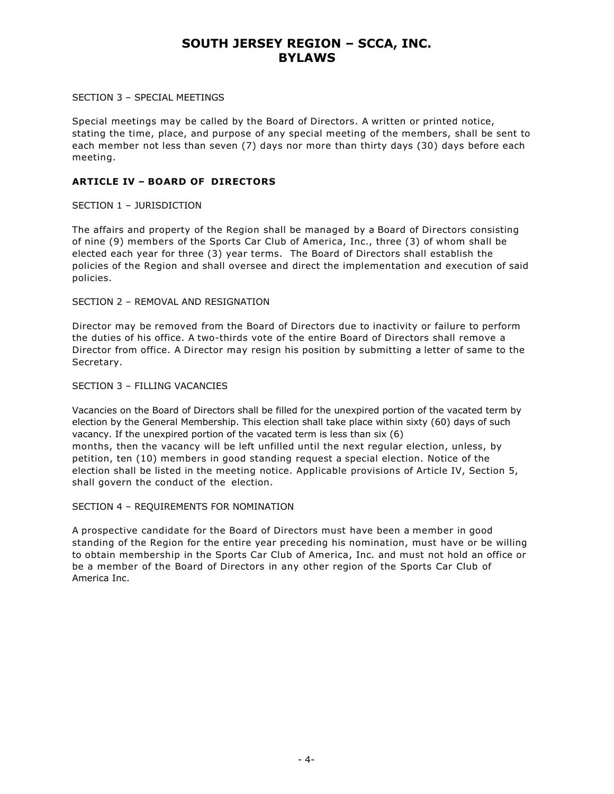#### SECTION 3 – SPECIAL MEETINGS

Special meetings may be called by the Board of Directors. A written or printed notice, stating the time, place, and purpose of any special meeting of the members, shall be sent to each member not less than seven (7) days nor more than thirty days (30) days before each meeting.

## **ARTICLE IV – BOARD OF DIRECTORS**

## SECTION 1 – JURISDICTION

The affairs and property of the Region shall be managed by a Board of Directors consisting of nine (9) members of the Sports Car Club of America, Inc., three (3) of whom shall be elected each year for three (3) year terms. The Board of Directors shall establish the policies of the Region and shall oversee and direct the implementation and execution of said policies.

## SECTION 2 – REMOVAL AND RESIGNATION

Director may be removed from the Board of Directors due to inactivity or failure to perform the duties of his office. A two-thirds vote of the entire Board of Directors shall remove a Director from office. A Director may resign his position by submitting a letter of same to the Secretary.

## SECTION 3 – FILLING VACANCIES

Vacancies on the Board of Directors shall be filled for the unexpired portion of the vacated term by election by the General Membership. This election shall take place within sixty (60) days of such vacancy. If the unexpired portion of the vacated term is less than six (6) months, then the vacancy will be left unfilled until the next regular election, unless, by petition, ten (10) members in good standing request a special election. Notice of the election shall be listed in the meeting notice. Applicable provisions of Article IV, Section 5, shall govern the conduct of the election.

## SECTION 4 – REQUIREMENTS FOR NOMINATION

A prospective candidate for the Board of Directors must have been a member in good standing of the Region for the entire year preceding his nomination, must have or be willing to obtain membership in the Sports Car Club of America, Inc. and must not hold an office or be a member of the Board of Directors in any other region of the Sports Car Club of America Inc.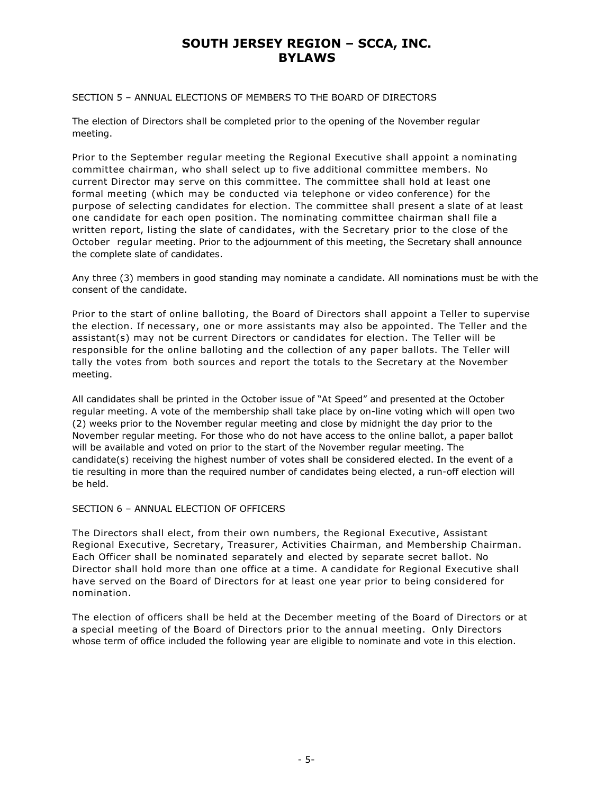## SECTION 5 – ANNUAL ELECTIONS OF MEMBERS TO THE BOARD OF DIRECTORS

The election of Directors shall be completed prior to the opening of the November regular meeting.

Prior to the September regular meeting the Regional Executive shall appoint a nominating committee chairman, who shall select up to five additional committee members. No current Director may serve on this committee. The committee shall hold at least one formal meeting (which may be conducted via telephone or video conference) for the purpose of selecting candidates for election. The committee shall present a slate of at least one candidate for each open position. The nominating committee chairman shall file a written report, listing the slate of candidates, with the Secretary prior to the close of the October regular meeting. Prior to the adjournment of this meeting, the Secretary shall announce the complete slate of candidates.

Any three (3) members in good standing may nominate a candidate. All nominations must be with the consent of the candidate.

Prior to the start of online balloting, the Board of Directors shall appoint a Teller to supervise the election. If necessary, one or more assistants may also be appointed. The Teller and the assistant(s) may not be current Directors or candidates for election. The Teller will be responsible for the online balloting and the collection of any paper ballots. The Teller will tally the votes from both sources and report the totals to the Secretary at the November meeting.

All candidates shall be printed in the October issue of "At Speed" and presented at the October regular meeting. A vote of the membership shall take place by on-line voting which will open two (2) weeks prior to the November regular meeting and close by midnight the day prior to the November regular meeting. For those who do not have access to the online ballot, a paper ballot will be available and voted on prior to the start of the November regular meeting. The candidate(s) receiving the highest number of votes shall be considered elected. In the event of a tie resulting in more than the required number of candidates being elected, a run-off election will be held.

#### SECTION 6 – ANNUAL ELECTION OF OFFICERS

The Directors shall elect, from their own numbers, the Regional Executive, Assistant Regional Executive, Secretary, Treasurer, Activities Chairman, and Membership Chairman. Each Officer shall be nominated separately and elected by separate secret ballot. No Director shall hold more than one office at a time. A candidate for Regional Executive shall have served on the Board of Directors for at least one year prior to being considered for nomination.

The election of officers shall be held at the December meeting of the Board of Directors or at a special meeting of the Board of Directors prior to the annual meeting. Only Directors whose term of office included the following year are eligible to nominate and vote in this election.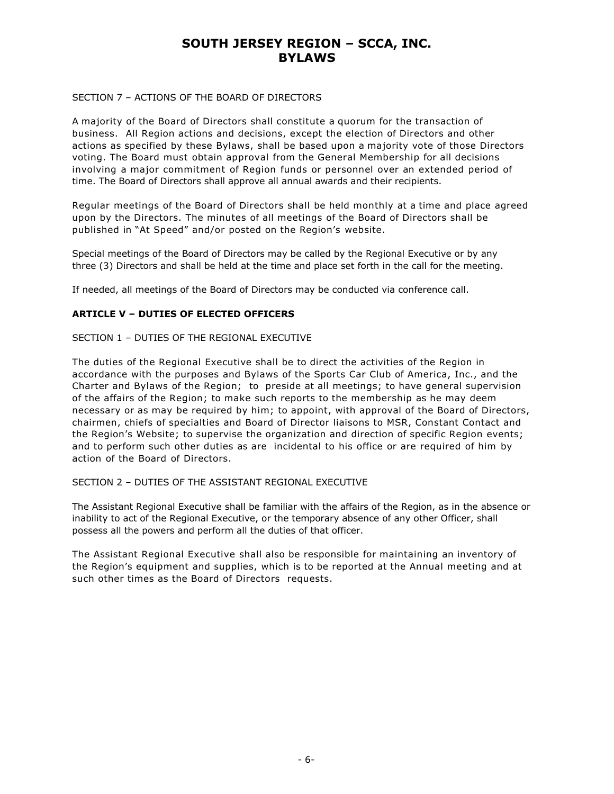## SECTION 7 – ACTIONS OF THE BOARD OF DIRECTORS

A majority of the Board of Directors shall constitute a quorum for the transaction of business. All Region actions and decisions, except the election of Directors and other actions as specified by these Bylaws, shall be based upon a majority vote of those Directors voting. The Board must obtain approval from the General Membership for all decisions involving a major commitment of Region funds or personnel over an extended period of time. The Board of Directors shall approve all annual awards and their recipients.

Regular meetings of the Board of Directors shall be held monthly at a time and place agreed upon by the Directors. The minutes of all meetings of the Board of Directors shall be published in "At Speed" and/or posted on the Region's website.

Special meetings of the Board of Directors may be called by the Regional Executive or by any three (3) Directors and shall be held at the time and place set forth in the call for the meeting.

If needed, all meetings of the Board of Directors may be conducted via conference call.

## **ARTICLE V – DUTIES OF ELECTED OFFICERS**

## SECTION 1 – DUTIES OF THE REGIONAL EXECUTIVE

The duties of the Regional Executive shall be to direct the activities of the Region in accordance with the purposes and Bylaws of the Sports Car Club of America, Inc., and the Charter and Bylaws of the Region; to preside at all meetings; to have general supervision of the affairs of the Region; to make such reports to the membership as he may deem necessary or as may be required by him; to appoint, with approval of the Board of Directors, chairmen, chiefs of specialties and Board of Director liaisons to MSR, Constant Contact and the Region's Website; to supervise the organization and direction of specific Region events; and to perform such other duties as are incidental to his office or are required of him by action of the Board of Directors.

## SECTION 2 – DUTIES OF THE ASSISTANT REGIONAL EXECUTIVE

The Assistant Regional Executive shall be familiar with the affairs of the Region, as in the absence or inability to act of the Regional Executive, or the temporary absence of any other Officer, shall possess all the powers and perform all the duties of that officer.

The Assistant Regional Executive shall also be responsible for maintaining an inventory of the Region's equipment and supplies, which is to be reported at the Annual meeting and at such other times as the Board of Directors requests.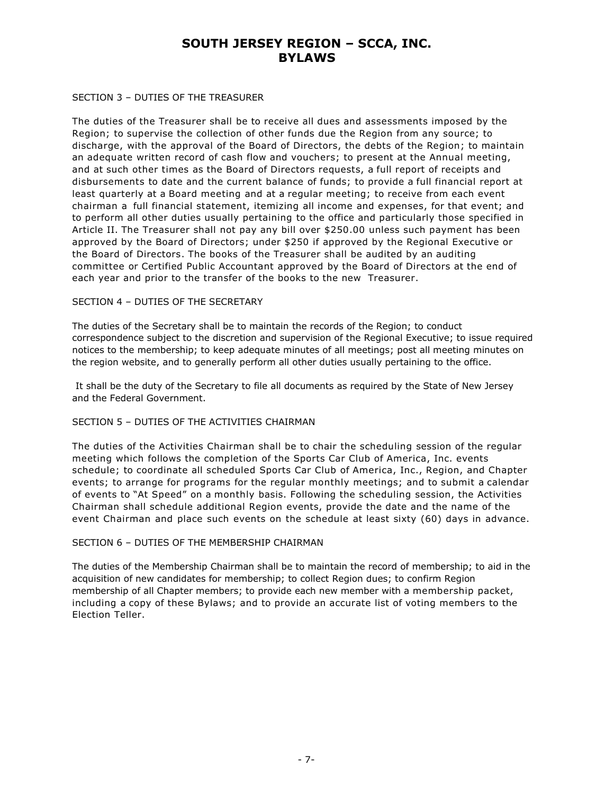#### SECTION 3 – DUTIES OF THE TREASURER

The duties of the Treasurer shall be to receive all dues and assessments imposed by the Region; to supervise the collection of other funds due the Region from any source; to discharge, with the approval of the Board of Directors, the debts of the Region; to maintain an adequate written record of cash flow and vouchers; to present at the Annual meeting, and at such other times as the Board of Directors requests, a full report of receipts and disbursements to date and the current balance of funds; to provide a full financial report at least quarterly at a Board meeting and at a regular meeting; to receive from each event chairman a full financial statement, itemizing all income and expenses, for that event; and to perform all other duties usually pertaining to the office and particularly those specified in Article II. The Treasurer shall not pay any bill over \$250.00 unless such payment has been approved by the Board of Directors; under \$250 if approved by the Regional Executive or the Board of Directors. The books of the Treasurer shall be audited by an auditing committee or Certified Public Accountant approved by the Board of Directors at the end of each year and prior to the transfer of the books to the new Treasurer.

#### SECTION 4 – DUTIES OF THE SECRETARY

The duties of the Secretary shall be to maintain the records of the Region; to conduct correspondence subject to the discretion and supervision of the Regional Executive; to issue required notices to the membership; to keep adequate minutes of all meetings; post all meeting minutes on the region website, and to generally perform all other duties usually pertaining to the office.

It shall be the duty of the Secretary to file all documents as required by the State of New Jersey and the Federal Government.

## SECTION 5 – DUTIES OF THE ACTIVITIES CHAIRMAN

The duties of the Activities Chairman shall be to chair the scheduling session of the regular meeting which follows the completion of the Sports Car Club of America, Inc. events schedule; to coordinate all scheduled Sports Car Club of America, Inc., Region, and Chapter events; to arrange for programs for the regular monthly meetings; and to submit a calendar of events to "At Speed" on a monthly basis. Following the scheduling session, the Activities Chairman shall schedule additional Region events, provide the date and the name of the event Chairman and place such events on the schedule at least sixty (60) days in advance.

## SECTION 6 – DUTIES OF THE MEMBERSHIP CHAIRMAN

The duties of the Membership Chairman shall be to maintain the record of membership; to aid in the acquisition of new candidates for membership; to collect Region dues; to confirm Region membership of all Chapter members; to provide each new member with a membership packet, including a copy of these Bylaws; and to provide an accurate list of voting members to the Election Teller.